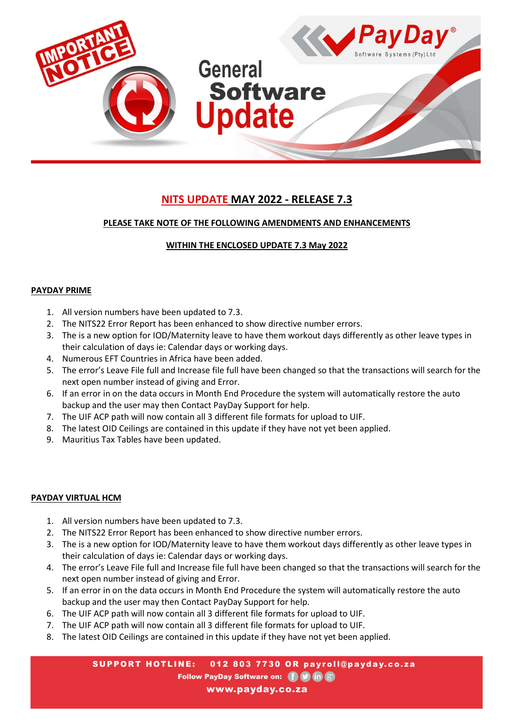

# NITS UPDATE MAY 2022 - RELEASE 7.3

## PLEASE TAKE NOTE OF THE FOLLOWING AMENDMENTS AND ENHANCEMENTS

## WITHIN THE ENCLOSED UPDATE 7.3 May 2022

#### PAYDAY PRIME

- 1. All version numbers have been updated to 7.3.
- 2. The NITS22 Error Report has been enhanced to show directive number errors.
- 3. The is a new option for IOD/Maternity leave to have them workout days differently as other leave types in their calculation of days ie: Calendar days or working days.
- 4. Numerous EFT Countries in Africa have been added.
- 5. The error's Leave File full and Increase file full have been changed so that the transactions will search for the next open number instead of giving and Error.
- 6. If an error in on the data occurs in Month End Procedure the system will automatically restore the auto backup and the user may then Contact PayDay Support for help.
- 7. The UIF ACP path will now contain all 3 different file formats for upload to UIF.
- 8. The latest OID Ceilings are contained in this update if they have not yet been applied.
- 9. Mauritius Tax Tables have been updated.

#### PAYDAY VIRTUAL HCM

- 1. All version numbers have been updated to 7.3.
- 2. The NITS22 Error Report has been enhanced to show directive number errors.
- 3. The is a new option for IOD/Maternity leave to have them workout days differently as other leave types in their calculation of days ie: Calendar days or working days.
- 4. The error's Leave File full and Increase file full have been changed so that the transactions will search for the next open number instead of giving and Error.
- 5. If an error in on the data occurs in Month End Procedure the system will automatically restore the auto backup and the user may then Contact PayDay Support for help.
- 6. The UIF ACP path will now contain all 3 different file formats for upload to UIF.
- 7. The UIF ACP path will now contain all 3 different file formats for upload to UIF.
- 8. The latest OID Ceilings are contained in this update if they have not yet been applied.

**SUPPORT HOTLINE:** 012 803 7730 OR payroll@payday.co.za Follow PayDay Software on: (19) (in (3)

www.payday.co.za